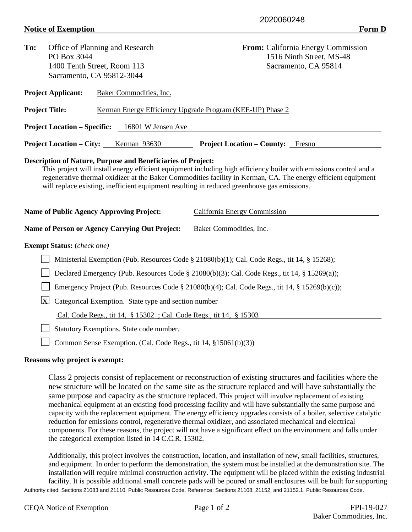## **Notice of Exemption** Form D

| To:                                                                                          | Office of Planning and Research<br>PO Box 3044                                                                                                 | <b>From:</b> California Energy Commission<br>1516 Ninth Street, MS-48                                                                                                                                                                                               |  |  |  |
|----------------------------------------------------------------------------------------------|------------------------------------------------------------------------------------------------------------------------------------------------|---------------------------------------------------------------------------------------------------------------------------------------------------------------------------------------------------------------------------------------------------------------------|--|--|--|
|                                                                                              | 1400 Tenth Street, Room 113                                                                                                                    | Sacramento, CA 95814                                                                                                                                                                                                                                                |  |  |  |
|                                                                                              | Sacramento, CA 95812-3044                                                                                                                      |                                                                                                                                                                                                                                                                     |  |  |  |
|                                                                                              | <b>Project Applicant:</b><br>Baker Commodities, Inc.                                                                                           |                                                                                                                                                                                                                                                                     |  |  |  |
|                                                                                              | <b>Project Title:</b>                                                                                                                          | Kerman Energy Efficiency Upgrade Program (KEE-UP) Phase 2                                                                                                                                                                                                           |  |  |  |
|                                                                                              | <b>Project Location – Specific:</b><br>16801 W Jensen Ave                                                                                      |                                                                                                                                                                                                                                                                     |  |  |  |
|                                                                                              | <b>Project Location – City:</b><br>Kerman 93630                                                                                                | <b>Project Location – County:</b> Fresno                                                                                                                                                                                                                            |  |  |  |
|                                                                                              | will replace existing, inefficient equipment resulting in reduced greenhouse gas emissions.<br><b>Name of Public Agency Approving Project:</b> | This project will install energy efficient equipment including high efficiency boiler with emissions control and a<br>regenerative thermal oxidizer at the Baker Commodities facility in Kerman, CA. The energy efficient equipment<br>California Energy Commission |  |  |  |
|                                                                                              | Name of Person or Agency Carrying Out Project:                                                                                                 | Baker Commodities, Inc.                                                                                                                                                                                                                                             |  |  |  |
|                                                                                              | <b>Exempt Status:</b> (check one)                                                                                                              |                                                                                                                                                                                                                                                                     |  |  |  |
| Ministerial Exemption (Pub. Resources Code § 21080(b)(1); Cal. Code Regs., tit 14, § 15268); |                                                                                                                                                |                                                                                                                                                                                                                                                                     |  |  |  |
| Declared Emergency (Pub. Resources Code § 21080(b)(3); Cal. Code Regs., tit 14, § 15269(a)); |                                                                                                                                                |                                                                                                                                                                                                                                                                     |  |  |  |
|                                                                                              | Emergency Project (Pub. Resources Code § 21080(b)(4); Cal. Code Regs., tit 14, § 15269(b)(c));                                                 |                                                                                                                                                                                                                                                                     |  |  |  |
|                                                                                              | $\mathbf{X}$<br>Categorical Exemption. State type and section number                                                                           |                                                                                                                                                                                                                                                                     |  |  |  |
| Cal. Code Regs., tit 14, § 15302; Cal. Code Regs., tit 14, § 15303                           |                                                                                                                                                |                                                                                                                                                                                                                                                                     |  |  |  |
|                                                                                              | Statutory Exemptions. State code number.                                                                                                       |                                                                                                                                                                                                                                                                     |  |  |  |
|                                                                                              | Common Sense Exemption. (Cal. Code Regs., tit 14, §15061(b)(3))                                                                                |                                                                                                                                                                                                                                                                     |  |  |  |

## **Reasons why project is exempt:**

Class 2 projects consist of replacement or reconstruction of existing structures and facilities where the new structure will be located on the same site as the structure replaced and will have substantially the same purpose and capacity as the structure replaced. This project will involve replacement of existing mechanical equipment at an existing food processing facility and will have substantially the same purpose and capacity with the replacement equipment. The energy efficiency upgrades consists of a boiler, selective catalytic reduction for emissions control, regenerative thermal oxidizer, and associated mechanical and electrical components. For these reasons, the project will not have a significant effect on the environment and falls under the categorical exemption listed in 14 C.C.R. 15302.

Authority cited: Sections 21083 and 21110, Public Resources Code. Reference: Sections 21108, 21152, and 21152.1, Public Resources Code. Additionally, this project involves the construction, location, and installation of new, small facilities, structures, and equipment. In order to perform the demonstration, the system must be installed at the demonstration site. The installation will require minimal construction activity. The equipment will be placed within the existing industrial facility. It is possible additional small concrete pads will be poured or small enclosures will be built for supporting

.